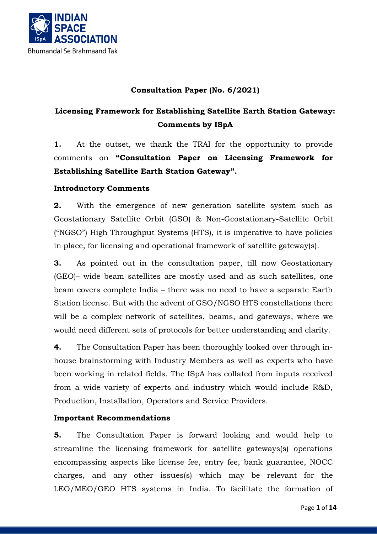

### **Consultation Paper (No. 6/2021)**

## **Licensing Framework for Establishing Satellite Earth Station Gateway: Comments by ISpA**

**1.** At the outset, we thank the TRAI for the opportunity to provide comments on **"Consultation Paper on Licensing Framework for Establishing Satellite Earth Station Gateway".**

### **Introductory Comments**

**2.** With the emergence of new generation satellite system such as Geostationary Satellite Orbit (GSO) & Non-Geostationary-Satellite Orbit ("NGSO") High Throughput Systems (HTS), it is imperative to have policies in place, for licensing and operational framework of satellite gateway(s).

**3.** As pointed out in the consultation paper, till now Geostationary (GEO)– wide beam satellites are mostly used and as such satellites, one beam covers complete India – there was no need to have a separate Earth Station license. But with the advent of GSO/NGSO HTS constellations there will be a complex network of satellites, beams, and gateways, where we would need different sets of protocols for better understanding and clarity.

**4.** The Consultation Paper has been thoroughly looked over through inhouse brainstorming with Industry Members as well as experts who have been working in related fields. The ISpA has collated from inputs received from a wide variety of experts and industry which would include R&D, Production, Installation, Operators and Service Providers.

#### **Important Recommendations**

**5.** The Consultation Paper is forward looking and would help to streamline the licensing framework for satellite gateways(s) operations encompassing aspects like license fee, entry fee, bank guarantee, NOCC charges, and any other issues(s) which may be relevant for the LEO/MEO/GEO HTS systems in India. To facilitate the formation of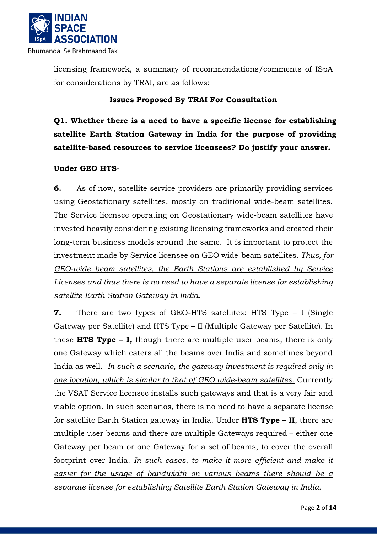

licensing framework, a summary of recommendations/comments of ISpA for considerations by TRAI, are as follows:

#### **Issues Proposed By TRAI For Consultation**

**Q1. Whether there is a need to have a specific license for establishing satellite Earth Station Gateway in India for the purpose of providing satellite-based resources to service licensees? Do justify your answer.** 

#### **Under GEO HTS-**

**6.** As of now, satellite service providers are primarily providing services using Geostationary satellites, mostly on traditional wide-beam satellites. The Service licensee operating on Geostationary wide-beam satellites have invested heavily considering existing licensing frameworks and created their long-term business models around the same. It is important to protect the investment made by Service licensee on GEO wide-beam satellites. *Thus, for GEO-wide beam satellites, the Earth Stations are established by Service Licenses and thus there is no need to have a separate license for establishing satellite Earth Station Gateway in India.*

**7.** There are two types of GEO-HTS satellites: HTS Type – I (Single Gateway per Satellite) and HTS Type – II (Multiple Gateway per Satellite). In these **HTS Type – I,** though there are multiple user beams, there is only one Gateway which caters all the beams over India and sometimes beyond India as well. *In such a scenario, the gateway investment is required only in one location, which is similar to that of GEO wide-beam satellites.* Currently the VSAT Service licensee installs such gateways and that is a very fair and viable option. In such scenarios, there is no need to have a separate license for satellite Earth Station gateway in India. Under **HTS Type – II**, there are multiple user beams and there are multiple Gateways required – either one Gateway per beam or one Gateway for a set of beams, to cover the overall footprint over India. *In such cases, to make it more efficient and make it easier for the usage of bandwidth on various beams there should be a separate license for establishing Satellite Earth Station Gateway in India.*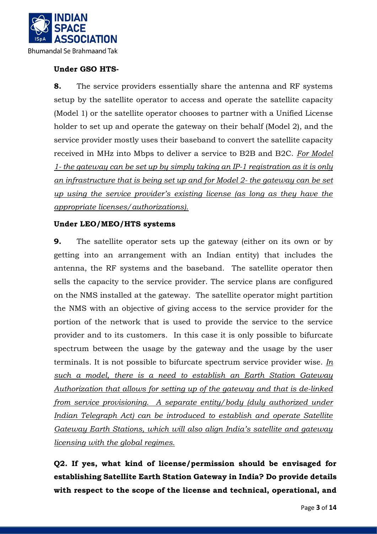

### **Under GSO HTS-**

**8.** The service providers essentially share the antenna and RF systems setup by the satellite operator to access and operate the satellite capacity (Model 1) or the satellite operator chooses to partner with a Unified License holder to set up and operate the gateway on their behalf (Model 2), and the service provider mostly uses their baseband to convert the satellite capacity received in MHz into Mbps to deliver a service to B2B and B2C. *For Model 1- the gateway can be set up by simply taking an IP-1 registration as it is only an infrastructure that is being set up and for Model 2- the gateway can be set up using the service provider's existing license (as long as they have the appropriate licenses/authorizations).*

#### **Under LEO/MEO/HTS systems**

**9.** The satellite operator sets up the gateway (either on its own or by getting into an arrangement with an Indian entity) that includes the antenna, the RF systems and the baseband. The satellite operator then sells the capacity to the service provider. The service plans are configured on the NMS installed at the gateway. The satellite operator might partition the NMS with an objective of giving access to the service provider for the portion of the network that is used to provide the service to the service provider and to its customers. In this case it is only possible to bifurcate spectrum between the usage by the gateway and the usage by the user terminals. It is not possible to bifurcate spectrum service provider wise. *In such a model, there is a need to establish an Earth Station Gateway Authorization that allows for setting up of the gateway and that is de-linked from service provisioning. A separate entity/body (duly authorized under Indian Telegraph Act) can be introduced to establish and operate Satellite Gateway Earth Stations, which will also align India's satellite and gateway licensing with the global regimes.*

**Q2. If yes, what kind of license/permission should be envisaged for establishing Satellite Earth Station Gateway in India? Do provide details with respect to the scope of the license and technical, operational, and**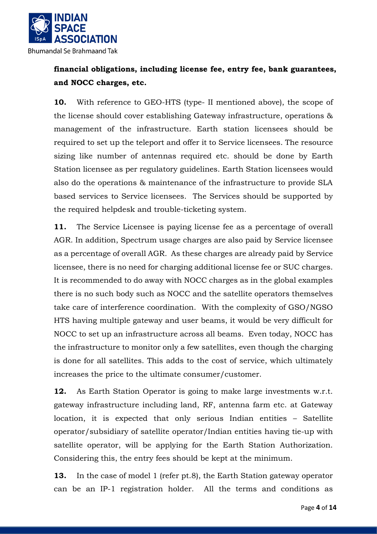

# **financial obligations, including license fee, entry fee, bank guarantees, and NOCC charges, etc.**

**10.** With reference to GEO-HTS (type- II mentioned above), the scope of the license should cover establishing Gateway infrastructure, operations & management of the infrastructure. Earth station licensees should be required to set up the teleport and offer it to Service licensees. The resource sizing like number of antennas required etc. should be done by Earth Station licensee as per regulatory guidelines. Earth Station licensees would also do the operations & maintenance of the infrastructure to provide SLA based services to Service licensees. The Services should be supported by the required helpdesk and trouble-ticketing system.

**11.** The Service Licensee is paying license fee as a percentage of overall AGR. In addition, Spectrum usage charges are also paid by Service licensee as a percentage of overall AGR. As these charges are already paid by Service licensee, there is no need for charging additional license fee or SUC charges. It is recommended to do away with NOCC charges as in the global examples there is no such body such as NOCC and the satellite operators themselves take care of interference coordination. With the complexity of GSO/NGSO HTS having multiple gateway and user beams, it would be very difficult for NOCC to set up an infrastructure across all beams. Even today, NOCC has the infrastructure to monitor only a few satellites, even though the charging is done for all satellites. This adds to the cost of service, which ultimately increases the price to the ultimate consumer/customer.

**12.** As Earth Station Operator is going to make large investments w.r.t. gateway infrastructure including land, RF, antenna farm etc. at Gateway location, it is expected that only serious Indian entities – Satellite operator/subsidiary of satellite operator/Indian entities having tie-up with satellite operator, will be applying for the Earth Station Authorization. Considering this, the entry fees should be kept at the minimum.

**13.** In the case of model 1 (refer pt.8), the Earth Station gateway operator can be an IP-1 registration holder. All the terms and conditions as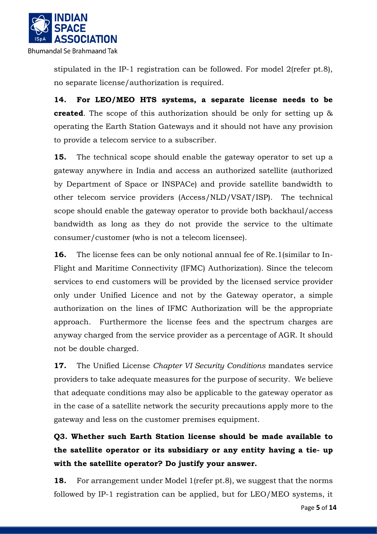

stipulated in the IP-1 registration can be followed. For model 2(refer pt.8), no separate license/authorization is required.

**14. For LEO/MEO HTS systems, a separate license needs to be created**. The scope of this authorization should be only for setting up & operating the Earth Station Gateways and it should not have any provision to provide a telecom service to a subscriber.

**15.** The technical scope should enable the gateway operator to set up a gateway anywhere in India and access an authorized satellite (authorized by Department of Space or INSPACe) and provide satellite bandwidth to other telecom service providers (Access/NLD/VSAT/ISP). The technical scope should enable the gateway operator to provide both backhaul/access bandwidth as long as they do not provide the service to the ultimate consumer/customer (who is not a telecom licensee).

**16.** The license fees can be only notional annual fee of Re.1(similar to In-Flight and Maritime Connectivity (IFMC) Authorization). Since the telecom services to end customers will be provided by the licensed service provider only under Unified Licence and not by the Gateway operator, a simple authorization on the lines of IFMC Authorization will be the appropriate approach. Furthermore the license fees and the spectrum charges are anyway charged from the service provider as a percentage of AGR. It should not be double charged.

**17.** The Unified License *Chapter VI Security Conditions* mandates service providers to take adequate measures for the purpose of security. We believe that adequate conditions may also be applicable to the gateway operator as in the case of a satellite network the security precautions apply more to the gateway and less on the customer premises equipment.

**Q3. Whether such Earth Station license should be made available to the satellite operator or its subsidiary or any entity having a tie- up with the satellite operator? Do justify your answer.** 

**18.** For arrangement under Model 1(refer pt.8), we suggest that the norms followed by IP-1 registration can be applied, but for LEO/MEO systems, it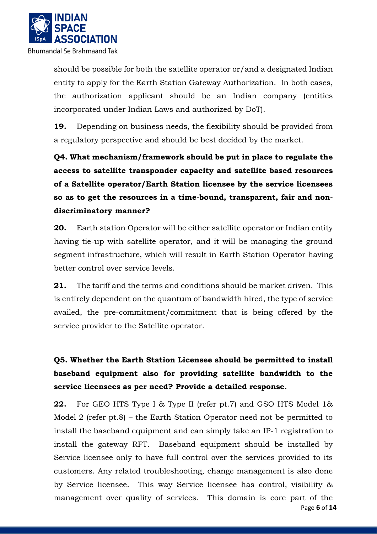

should be possible for both the satellite operator or/and a designated Indian entity to apply for the Earth Station Gateway Authorization. In both cases, the authorization applicant should be an Indian company (entities incorporated under Indian Laws and authorized by DoT).

**19.** Depending on business needs, the flexibility should be provided from a regulatory perspective and should be best decided by the market.

**Q4. What mechanism/framework should be put in place to regulate the access to satellite transponder capacity and satellite based resources of a Satellite operator/Earth Station licensee by the service licensees so as to get the resources in a time-bound, transparent, fair and nondiscriminatory manner?** 

**20.** Earth station Operator will be either satellite operator or Indian entity having tie-up with satellite operator, and it will be managing the ground segment infrastructure, which will result in Earth Station Operator having better control over service levels.

**21.** The tariff and the terms and conditions should be market driven. This is entirely dependent on the quantum of bandwidth hired, the type of service availed, the pre-commitment/commitment that is being offered by the service provider to the Satellite operator.

# **Q5. Whether the Earth Station Licensee should be permitted to install baseband equipment also for providing satellite bandwidth to the service licensees as per need? Provide a detailed response.**

 Page **6** of **14 22.** For GEO HTS Type I & Type II (refer pt.7) and GSO HTS Model 1& Model 2 (refer pt.8) – the Earth Station Operator need not be permitted to install the baseband equipment and can simply take an IP-1 registration to install the gateway RFT. Baseband equipment should be installed by Service licensee only to have full control over the services provided to its customers. Any related troubleshooting, change management is also done by Service licensee. This way Service licensee has control, visibility & management over quality of services. This domain is core part of the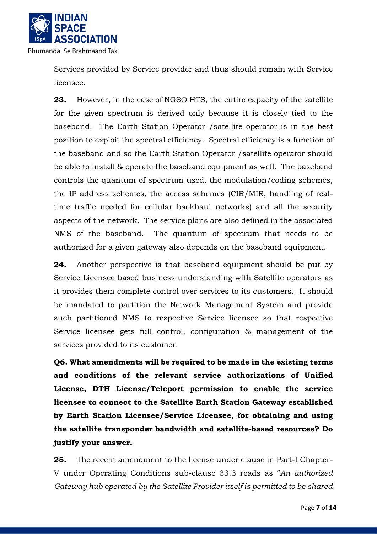

Services provided by Service provider and thus should remain with Service licensee.

**23.** However, in the case of NGSO HTS, the entire capacity of the satellite for the given spectrum is derived only because it is closely tied to the baseband. The Earth Station Operator /satellite operator is in the best position to exploit the spectral efficiency. Spectral efficiency is a function of the baseband and so the Earth Station Operator /satellite operator should be able to install & operate the baseband equipment as well. The baseband controls the quantum of spectrum used, the modulation/coding schemes, the IP address schemes, the access schemes (CIR/MIR, handling of realtime traffic needed for cellular backhaul networks) and all the security aspects of the network. The service plans are also defined in the associated NMS of the baseband. The quantum of spectrum that needs to be authorized for a given gateway also depends on the baseband equipment.

**24.** Another perspective is that baseband equipment should be put by Service Licensee based business understanding with Satellite operators as it provides them complete control over services to its customers. It should be mandated to partition the Network Management System and provide such partitioned NMS to respective Service licensee so that respective Service licensee gets full control, configuration & management of the services provided to its customer.

**Q6. What amendments will be required to be made in the existing terms and conditions of the relevant service authorizations of Unified License, DTH License/Teleport permission to enable the service licensee to connect to the Satellite Earth Station Gateway established by Earth Station Licensee/Service Licensee, for obtaining and using the satellite transponder bandwidth and satellite-based resources? Do justify your answer.** 

**25.** The recent amendment to the license under clause in Part-I Chapter-V under Operating Conditions sub-clause 33.3 reads as "*An authorized Gateway hub operated by the Satellite Provider itself is permitted to be shared*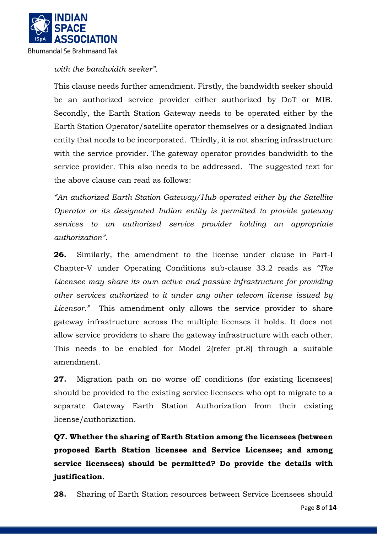

*with the bandwidth seeker".* 

This clause needs further amendment. Firstly, the bandwidth seeker should be an authorized service provider either authorized by DoT or MIB. Secondly, the Earth Station Gateway needs to be operated either by the Earth Station Operator/satellite operator themselves or a designated Indian entity that needs to be incorporated. Thirdly, it is not sharing infrastructure with the service provider. The gateway operator provides bandwidth to the service provider. This also needs to be addressed. The suggested text for the above clause can read as follows:

*"An authorized Earth Station Gateway/Hub operated either by the Satellite Operator or its designated Indian entity is permitted to provide gateway services to an authorized service provider holding an appropriate authorization".*

**26.** Similarly, the amendment to the license under clause in Part-I Chapter-V under Operating Conditions sub-clause 33.2 reads as *"The*  Licensee may share its own active and passive infrastructure for providing *other services authorized to it under any other telecom license issued by Licensor."* This amendment only allows the service provider to share gateway infrastructure across the multiple licenses it holds. It does not allow service providers to share the gateway infrastructure with each other. This needs to be enabled for Model 2(refer pt.8) through a suitable amendment.

**27.** Migration path on no worse off conditions (for existing licensees) should be provided to the existing service licensees who opt to migrate to a separate Gateway Earth Station Authorization from their existing license/authorization.

**Q7. Whether the sharing of Earth Station among the licensees (between proposed Earth Station licensee and Service Licensee; and among service licensees) should be permitted? Do provide the details with justification.** 

**28.** Sharing of Earth Station resources between Service licensees should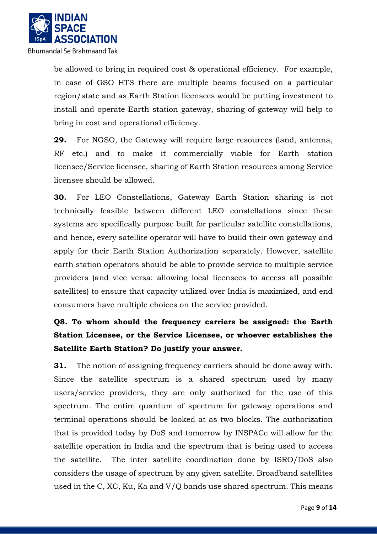

be allowed to bring in required cost & operational efficiency. For example, in case of GSO HTS there are multiple beams focused on a particular region/state and as Earth Station licensees would be putting investment to install and operate Earth station gateway, sharing of gateway will help to bring in cost and operational efficiency.

**29.** For NGSO, the Gateway will require large resources (land, antenna, RF etc.) and to make it commercially viable for Earth station licensee/Service licensee, sharing of Earth Station resources among Service licensee should be allowed.

**30.** For LEO Constellations, Gateway Earth Station sharing is not technically feasible between different LEO constellations since these systems are specifically purpose built for particular satellite constellations, and hence, every satellite operator will have to build their own gateway and apply for their Earth Station Authorization separately. However, satellite earth station operators should be able to provide service to multiple service providers (and vice versa: allowing local licensees to access all possible satellites) to ensure that capacity utilized over India is maximized, and end consumers have multiple choices on the service provided.

# **Q8. To whom should the frequency carriers be assigned: the Earth Station Licensee, or the Service Licensee, or whoever establishes the Satellite Earth Station? Do justify your answer.**

**31.** The notion of assigning frequency carriers should be done away with. Since the satellite spectrum is a shared spectrum used by many users/service providers, they are only authorized for the use of this spectrum. The entire quantum of spectrum for gateway operations and terminal operations should be looked at as two blocks. The authorization that is provided today by DoS and tomorrow by INSPACe will allow for the satellite operation in India and the spectrum that is being used to access the satellite. The inter satellite coordination done by ISRO/DoS also considers the usage of spectrum by any given satellite. Broadband satellites used in the C, XC, Ku, Ka and V/Q bands use shared spectrum. This means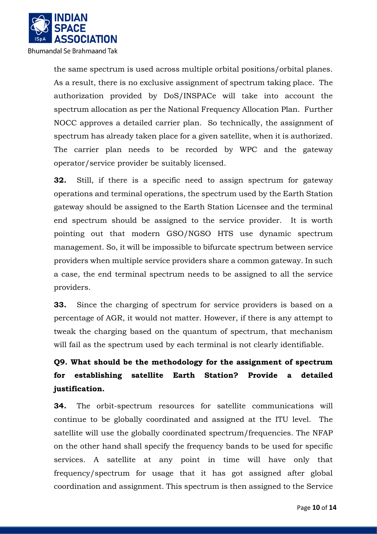

the same spectrum is used across multiple orbital positions/orbital planes. As a result, there is no exclusive assignment of spectrum taking place. The authorization provided by DoS/INSPACe will take into account the spectrum allocation as per the National Frequency Allocation Plan. Further NOCC approves a detailed carrier plan. So technically, the assignment of spectrum has already taken place for a given satellite, when it is authorized. The carrier plan needs to be recorded by WPC and the gateway operator/service provider be suitably licensed.

**32.** Still, if there is a specific need to assign spectrum for gateway operations and terminal operations, the spectrum used by the Earth Station gateway should be assigned to the Earth Station Licensee and the terminal end spectrum should be assigned to the service provider. It is worth pointing out that modern GSO/NGSO HTS use dynamic spectrum management. So, it will be impossible to bifurcate spectrum between service providers when multiple service providers share a common gateway. In such a case, the end terminal spectrum needs to be assigned to all the service providers.

**33.** Since the charging of spectrum for service providers is based on a percentage of AGR, it would not matter. However, if there is any attempt to tweak the charging based on the quantum of spectrum, that mechanism will fail as the spectrum used by each terminal is not clearly identifiable.

# **Q9. What should be the methodology for the assignment of spectrum for establishing satellite Earth Station? Provide a detailed justification.**

**34.** The orbit-spectrum resources for satellite communications will continue to be globally coordinated and assigned at the ITU level. The satellite will use the globally coordinated spectrum/frequencies. The NFAP on the other hand shall specify the frequency bands to be used for specific services. A satellite at any point in time will have only that frequency/spectrum for usage that it has got assigned after global coordination and assignment. This spectrum is then assigned to the Service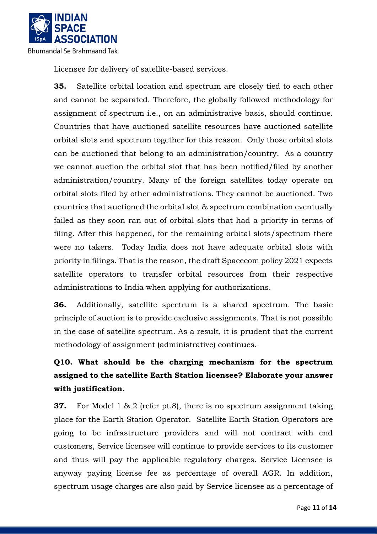

Licensee for delivery of satellite-based services.

**35.** Satellite orbital location and spectrum are closely tied to each other and cannot be separated. Therefore, the globally followed methodology for assignment of spectrum i.e., on an administrative basis, should continue. Countries that have auctioned satellite resources have auctioned satellite orbital slots and spectrum together for this reason. Only those orbital slots can be auctioned that belong to an administration/country. As a country we cannot auction the orbital slot that has been notified/filed by another administration/country. Many of the foreign satellites today operate on orbital slots filed by other administrations. They cannot be auctioned. Two countries that auctioned the orbital slot & spectrum combination eventually failed as they soon ran out of orbital slots that had a priority in terms of filing. After this happened, for the remaining orbital slots/spectrum there were no takers. Today India does not have adequate orbital slots with priority in filings. That is the reason, the draft Spacecom policy 2021 expects satellite operators to transfer orbital resources from their respective administrations to India when applying for authorizations.

**36.** Additionally, satellite spectrum is a shared spectrum. The basic principle of auction is to provide exclusive assignments. That is not possible in the case of satellite spectrum. As a result, it is prudent that the current methodology of assignment (administrative) continues.

# **Q10. What should be the charging mechanism for the spectrum assigned to the satellite Earth Station licensee? Elaborate your answer with justification.**

**37.** For Model 1 & 2 (refer pt.8), there is no spectrum assignment taking place for the Earth Station Operator. Satellite Earth Station Operators are going to be infrastructure providers and will not contract with end customers, Service licensee will continue to provide services to its customer and thus will pay the applicable regulatory charges. Service Licensee is anyway paying license fee as percentage of overall AGR. In addition, spectrum usage charges are also paid by Service licensee as a percentage of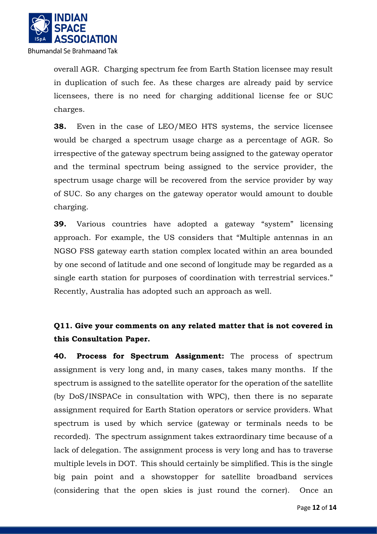

overall AGR. Charging spectrum fee from Earth Station licensee may result in duplication of such fee. As these charges are already paid by service licensees, there is no need for charging additional license fee or SUC charges.

**38.** Even in the case of LEO/MEO HTS systems, the service licensee would be charged a spectrum usage charge as a percentage of AGR. So irrespective of the gateway spectrum being assigned to the gateway operator and the terminal spectrum being assigned to the service provider, the spectrum usage charge will be recovered from the service provider by way of SUC. So any charges on the gateway operator would amount to double charging.

**39.** Various countries have adopted a gateway "system" licensing approach. For example, the US considers that "Multiple antennas in an NGSO FSS gateway earth station complex located within an area bounded by one second of latitude and one second of longitude may be regarded as a single earth station for purposes of coordination with terrestrial services." Recently, Australia has adopted such an approach as well.

## **Q11. Give your comments on any related matter that is not covered in this Consultation Paper.**

**40. Process for Spectrum Assignment:** The process of spectrum assignment is very long and, in many cases, takes many months. If the spectrum is assigned to the satellite operator for the operation of the satellite (by DoS/INSPACe in consultation with WPC), then there is no separate assignment required for Earth Station operators or service providers. What spectrum is used by which service (gateway or terminals needs to be recorded). The spectrum assignment takes extraordinary time because of a lack of delegation. The assignment process is very long and has to traverse multiple levels in DOT. This should certainly be simplified. This is the single big pain point and a showstopper for satellite broadband services (considering that the open skies is just round the corner). Once an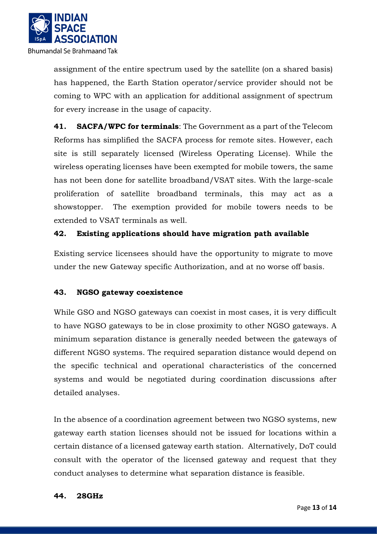

assignment of the entire spectrum used by the satellite (on a shared basis) has happened, the Earth Station operator/service provider should not be coming to WPC with an application for additional assignment of spectrum for every increase in the usage of capacity.

**41. SACFA/WPC for terminals**: The Government as a part of the Telecom Reforms has simplified the SACFA process for remote sites. However, each site is still separately licensed (Wireless Operating License). While the wireless operating licenses have been exempted for mobile towers, the same has not been done for satellite broadband/VSAT sites. With the large-scale proliferation of satellite broadband terminals, this may act as a showstopper. The exemption provided for mobile towers needs to be extended to VSAT terminals as well.

### **42. Existing applications should have migration path available**

Existing service licensees should have the opportunity to migrate to move under the new Gateway specific Authorization, and at no worse off basis.

### **43. NGSO gateway coexistence**

While GSO and NGSO gateways can coexist in most cases, it is very difficult to have NGSO gateways to be in close proximity to other NGSO gateways. A minimum separation distance is generally needed between the gateways of different NGSO systems. The required separation distance would depend on the specific technical and operational characteristics of the concerned systems and would be negotiated during coordination discussions after detailed analyses.

In the absence of a coordination agreement between two NGSO systems, new gateway earth station licenses should not be issued for locations within a certain distance of a licensed gateway earth station. Alternatively, DoT could consult with the operator of the licensed gateway and request that they conduct analyses to determine what separation distance is feasible.

#### **44. 28GHz**